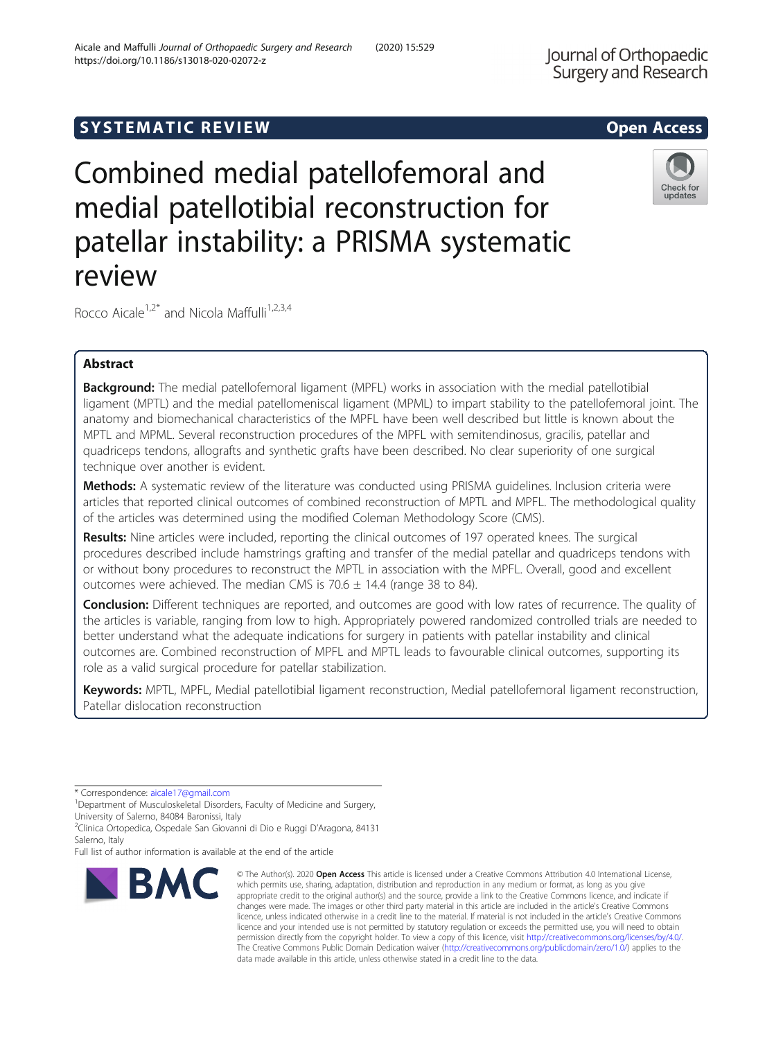# **SYSTEMATIC REVIEW ACCESS**

Combined medial patellofemoral and medial patellotibial reconstruction for patellar instability: a PRISMA systematic review

Rocco Aicale<sup>1,2\*</sup> and Nicola Maffulli<sup>1,2,3,4</sup>

# Abstract

**Background:** The medial patellofemoral ligament (MPFL) works in association with the medial patellotibial ligament (MPTL) and the medial patellomeniscal ligament (MPML) to impart stability to the patellofemoral joint. The anatomy and biomechanical characteristics of the MPFL have been well described but little is known about the MPTL and MPML. Several reconstruction procedures of the MPFL with semitendinosus, gracilis, patellar and quadriceps tendons, allografts and synthetic grafts have been described. No clear superiority of one surgical technique over another is evident.

Methods: A systematic review of the literature was conducted using PRISMA guidelines. Inclusion criteria were articles that reported clinical outcomes of combined reconstruction of MPTL and MPFL. The methodological quality of the articles was determined using the modified Coleman Methodology Score (CMS).

Results: Nine articles were included, reporting the clinical outcomes of 197 operated knees. The surgical procedures described include hamstrings grafting and transfer of the medial patellar and quadriceps tendons with or without bony procedures to reconstruct the MPTL in association with the MPFL. Overall, good and excellent outcomes were achieved. The median CMS is  $70.6 \pm 14.4$  (range 38 to 84).

Conclusion: Different techniques are reported, and outcomes are good with low rates of recurrence. The quality of the articles is variable, ranging from low to high. Appropriately powered randomized controlled trials are needed to better understand what the adequate indications for surgery in patients with patellar instability and clinical outcomes are. Combined reconstruction of MPFL and MPTL leads to favourable clinical outcomes, supporting its role as a valid surgical procedure for patellar stabilization.

Keywords: MPTL, MPFL, Medial patellotibial ligament reconstruction, Medial patellofemoral ligament reconstruction, Patellar dislocation reconstruction

\* Correspondence: [aicale17@gmail.com](mailto:aicale17@gmail.com) <sup>1</sup>

<sup>1</sup>Department of Musculoskeletal Disorders, Faculty of Medicine and Surgery, University of Salerno, 84084 Baronissi, Italy

2 Clinica Ortopedica, Ospedale San Giovanni di Dio e Ruggi D'Aragona, 84131 Salerno, Italy

Full list of author information is available at the end of the article

which permits use, sharing, adaptation, distribution and reproduction in any medium or format, as long as you give appropriate credit to the original author(s) and the source, provide a link to the Creative Commons licence, and indicate if changes were made. The images or other third party material in this article are included in the article's Creative Commons licence, unless indicated otherwise in a credit line to the material. If material is not included in the article's Creative Commons licence and your intended use is not permitted by statutory regulation or exceeds the permitted use, you will need to obtain permission directly from the copyright holder. To view a copy of this licence, visit [http://creativecommons.org/licenses/by/4.0/.](http://creativecommons.org/licenses/by/4.0/) The Creative Commons Public Domain Dedication waiver [\(http://creativecommons.org/publicdomain/zero/1.0/](http://creativecommons.org/publicdomain/zero/1.0/)) applies to the data made available in this article, unless otherwise stated in a credit line to the data.

© The Author(s), 2020 **Open Access** This article is licensed under a Creative Commons Attribution 4.0 International License,

Check for updates



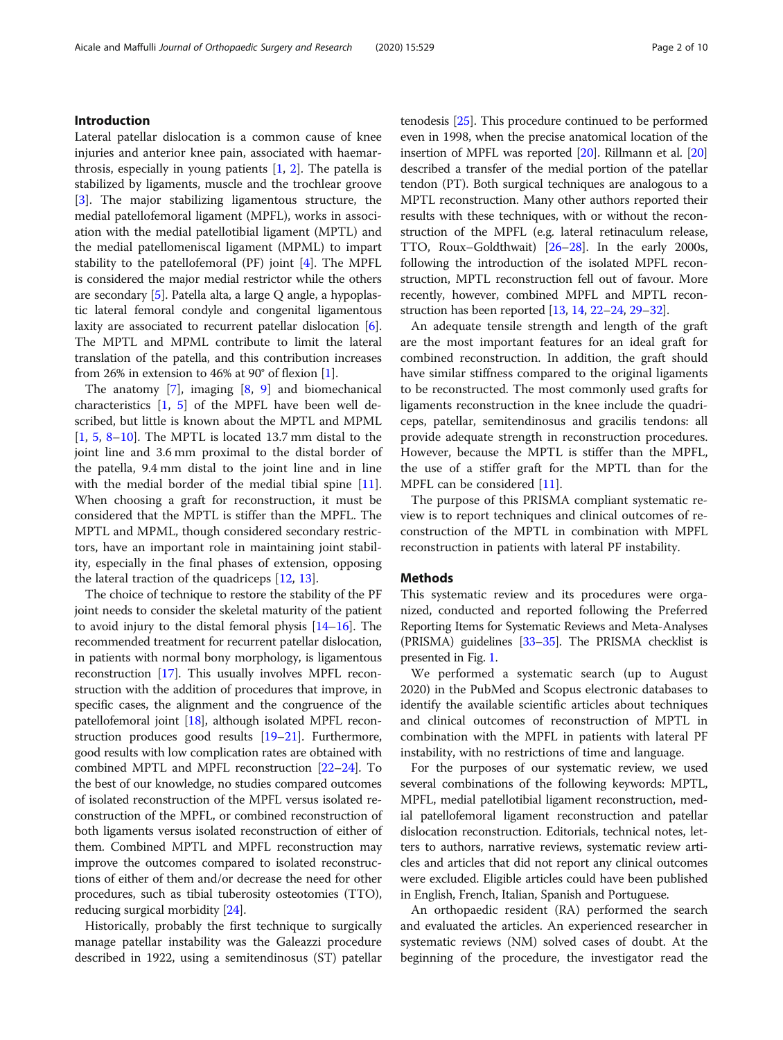# Introduction

Lateral patellar dislocation is a common cause of knee injuries and anterior knee pain, associated with haemarthrosis, especially in young patients  $[1, 2]$  $[1, 2]$  $[1, 2]$ . The patella is stabilized by ligaments, muscle and the trochlear groove [[3\]](#page-7-0). The major stabilizing ligamentous structure, the medial patellofemoral ligament (MPFL), works in association with the medial patellotibial ligament (MPTL) and the medial patellomeniscal ligament (MPML) to impart stability to the patellofemoral (PF) joint [[4\]](#page-7-0). The MPFL is considered the major medial restrictor while the others are secondary [[5\]](#page-7-0). Patella alta, a large Q angle, a hypoplastic lateral femoral condyle and congenital ligamentous laxity are associated to recurrent patellar dislocation [[6](#page-7-0)]. The MPTL and MPML contribute to limit the lateral translation of the patella, and this contribution increases from 26% in extension to 46% at 90° of flexion [\[1](#page-7-0)].

The anatomy [[7\]](#page-7-0), imaging [[8,](#page-7-0) [9](#page-8-0)] and biomechanical characteristics [[1,](#page-7-0) [5\]](#page-7-0) of the MPFL have been well described, but little is known about the MPTL and MPML  $[1, 5, 8-10]$  $[1, 5, 8-10]$  $[1, 5, 8-10]$  $[1, 5, 8-10]$  $[1, 5, 8-10]$  $[1, 5, 8-10]$  $[1, 5, 8-10]$  $[1, 5, 8-10]$  $[1, 5, 8-10]$ . The MPTL is located 13.7 mm distal to the joint line and 3.6 mm proximal to the distal border of the patella, 9.4 mm distal to the joint line and in line with the medial border of the medial tibial spine  $[11]$  $[11]$ . When choosing a graft for reconstruction, it must be considered that the MPTL is stiffer than the MPFL. The MPTL and MPML, though considered secondary restrictors, have an important role in maintaining joint stability, especially in the final phases of extension, opposing the lateral traction of the quadriceps [\[12](#page-8-0), [13](#page-8-0)].

The choice of technique to restore the stability of the PF joint needs to consider the skeletal maturity of the patient to avoid injury to the distal femoral physis [\[14](#page-8-0)–[16](#page-8-0)]. The recommended treatment for recurrent patellar dislocation, in patients with normal bony morphology, is ligamentous reconstruction [\[17\]](#page-8-0). This usually involves MPFL reconstruction with the addition of procedures that improve, in specific cases, the alignment and the congruence of the patellofemoral joint [\[18\]](#page-8-0), although isolated MPFL reconstruction produces good results [\[19](#page-8-0)–[21](#page-8-0)]. Furthermore, good results with low complication rates are obtained with combined MPTL and MPFL reconstruction [[22](#page-8-0)–[24\]](#page-8-0). To the best of our knowledge, no studies compared outcomes of isolated reconstruction of the MPFL versus isolated reconstruction of the MPFL, or combined reconstruction of both ligaments versus isolated reconstruction of either of them. Combined MPTL and MPFL reconstruction may improve the outcomes compared to isolated reconstructions of either of them and/or decrease the need for other procedures, such as tibial tuberosity osteotomies (TTO), reducing surgical morbidity [[24](#page-8-0)].

Historically, probably the first technique to surgically manage patellar instability was the Galeazzi procedure described in 1922, using a semitendinosus (ST) patellar tenodesis [[25](#page-8-0)]. This procedure continued to be performed even in 1998, when the precise anatomical location of the insertion of MPFL was reported [[20](#page-8-0)]. Rillmann et al. [[20](#page-8-0)] described a transfer of the medial portion of the patellar tendon (PT). Both surgical techniques are analogous to a MPTL reconstruction. Many other authors reported their results with these techniques, with or without the reconstruction of the MPFL (e.g. lateral retinaculum release, TTO, Roux–Goldthwait) [[26](#page-8-0)–[28\]](#page-8-0). In the early 2000s, following the introduction of the isolated MPFL reconstruction, MPTL reconstruction fell out of favour. More recently, however, combined MPFL and MPTL reconstruction has been reported [[13](#page-8-0), [14,](#page-8-0) [22](#page-8-0)–[24](#page-8-0), [29](#page-8-0)–[32](#page-8-0)].

An adequate tensile strength and length of the graft are the most important features for an ideal graft for combined reconstruction. In addition, the graft should have similar stiffness compared to the original ligaments to be reconstructed. The most commonly used grafts for ligaments reconstruction in the knee include the quadriceps, patellar, semitendinosus and gracilis tendons: all provide adequate strength in reconstruction procedures. However, because the MPTL is stiffer than the MPFL, the use of a stiffer graft for the MPTL than for the MPFL can be considered [[11\]](#page-8-0).

The purpose of this PRISMA compliant systematic review is to report techniques and clinical outcomes of reconstruction of the MPTL in combination with MPFL reconstruction in patients with lateral PF instability.

## Methods

This systematic review and its procedures were organized, conducted and reported following the Preferred Reporting Items for Systematic Reviews and Meta-Analyses (PRISMA) guidelines [\[33](#page-8-0)–[35](#page-8-0)]. The PRISMA checklist is presented in Fig. [1.](#page-2-0)

We performed a systematic search (up to August 2020) in the PubMed and Scopus electronic databases to identify the available scientific articles about techniques and clinical outcomes of reconstruction of MPTL in combination with the MPFL in patients with lateral PF instability, with no restrictions of time and language.

For the purposes of our systematic review, we used several combinations of the following keywords: MPTL, MPFL, medial patellotibial ligament reconstruction, medial patellofemoral ligament reconstruction and patellar dislocation reconstruction. Editorials, technical notes, letters to authors, narrative reviews, systematic review articles and articles that did not report any clinical outcomes were excluded. Eligible articles could have been published in English, French, Italian, Spanish and Portuguese.

An orthopaedic resident (RA) performed the search and evaluated the articles. An experienced researcher in systematic reviews (NM) solved cases of doubt. At the beginning of the procedure, the investigator read the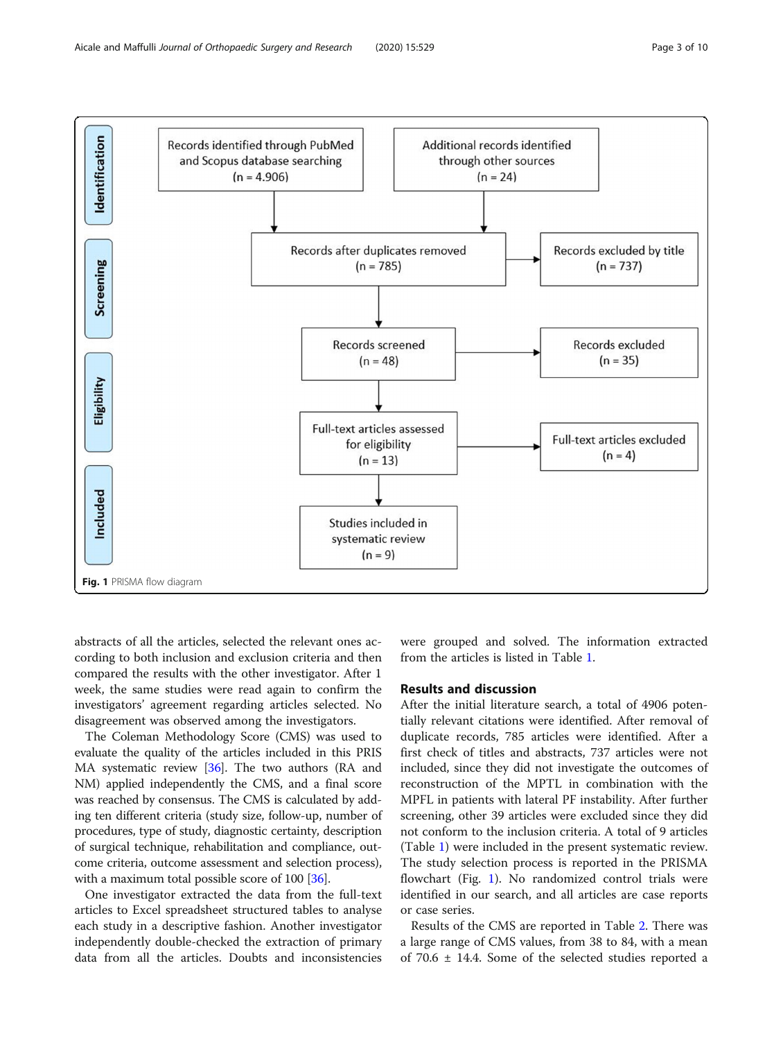<span id="page-2-0"></span>

abstracts of all the articles, selected the relevant ones according to both inclusion and exclusion criteria and then compared the results with the other investigator. After 1 week, the same studies were read again to confirm the investigators' agreement regarding articles selected. No disagreement was observed among the investigators.

The Coleman Methodology Score (CMS) was used to evaluate the quality of the articles included in this PRIS MA systematic review [\[36\]](#page-8-0). The two authors (RA and NM) applied independently the CMS, and a final score was reached by consensus. The CMS is calculated by adding ten different criteria (study size, follow-up, number of procedures, type of study, diagnostic certainty, description of surgical technique, rehabilitation and compliance, outcome criteria, outcome assessment and selection process), with a maximum total possible score of 100 [[36](#page-8-0)].

One investigator extracted the data from the full-text articles to Excel spreadsheet structured tables to analyse each study in a descriptive fashion. Another investigator independently double-checked the extraction of primary data from all the articles. Doubts and inconsistencies

were grouped and solved. The information extracted from the articles is listed in Table [1.](#page-3-0)

# Results and discussion

After the initial literature search, a total of 4906 potentially relevant citations were identified. After removal of duplicate records, 785 articles were identified. After a first check of titles and abstracts, 737 articles were not included, since they did not investigate the outcomes of reconstruction of the MPTL in combination with the MPFL in patients with lateral PF instability. After further screening, other 39 articles were excluded since they did not conform to the inclusion criteria. A total of 9 articles (Table [1\)](#page-3-0) were included in the present systematic review. The study selection process is reported in the PRISMA flowchart (Fig. 1). No randomized control trials were identified in our search, and all articles are case reports or case series.

Results of the CMS are reported in Table [2.](#page-5-0) There was a large range of CMS values, from 38 to 84, with a mean of 70.6 ± 14.4. Some of the selected studies reported a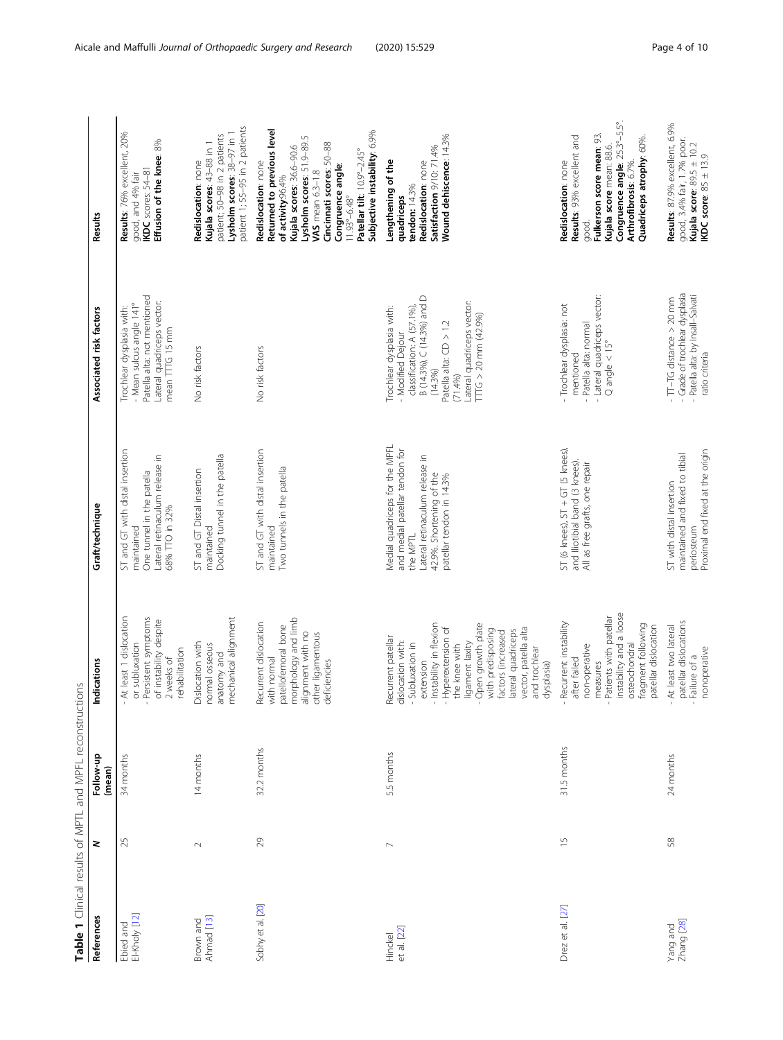<span id="page-3-0"></span>

| Table 1 Clinical results of MPTL and MPFL reconstructions |                          |                     |                                                                                                                                                                                                                                                                                                        |                                                                                                                                                                        |                                                                                                                                                                                                                    |                                                                                                                                                                                                                                                                                                        |
|-----------------------------------------------------------|--------------------------|---------------------|--------------------------------------------------------------------------------------------------------------------------------------------------------------------------------------------------------------------------------------------------------------------------------------------------------|------------------------------------------------------------------------------------------------------------------------------------------------------------------------|--------------------------------------------------------------------------------------------------------------------------------------------------------------------------------------------------------------------|--------------------------------------------------------------------------------------------------------------------------------------------------------------------------------------------------------------------------------------------------------------------------------------------------------|
| References                                                | z                        | Follow-up<br>(mean) | Indications                                                                                                                                                                                                                                                                                            | Graft/technique                                                                                                                                                        | Associated risk factors                                                                                                                                                                                            | Results                                                                                                                                                                                                                                                                                                |
| Ebied and<br>El-Kholy [12]                                | 25                       | 34 months           | At least 1 dislocation<br>Persistent symptoms<br>of instability despite<br>or subluxation<br>rehabilitation<br>2 weeks of                                                                                                                                                                              | ST and GT with distal insertion<br>Lateral retinaculum release in<br>One tunnel in the patella<br>68% TTO in 32%<br>maintained                                         | Patella alta: not mentioned<br>Lateral quadriceps vector:<br>- Mean sulcus angle 141°<br>Trochlear dysplasia with:<br>mean TTTG 15 mm                                                                              | Results: 76% excellent, 20%<br>Effusion of the knee: 8%<br>IKDC scores: 54-81<br>good, and 4% fair                                                                                                                                                                                                     |
| Ahmad [13]<br>Brown and                                   | $\sim$                   | 14 months           | mechanical alignment<br>Dislocation with<br>normal osseous<br>anatomy and                                                                                                                                                                                                                              | Docking tunnel in the patella<br>ST and GT Distal insertion<br>maintained                                                                                              | No risk factors                                                                                                                                                                                                    | patient 1; 55-95 in 2 patients<br>Lysholm scores: 38-97 in 1<br>patient; 50-98 in 2 patients<br>Kujala scores: 43-88 in 1<br>Redislocation: none                                                                                                                                                       |
| Sobhy et al. [20]                                         | 29                       | 32.2 months         | morphology and limb<br>Recurrent dislocation<br>patellofemoral bone<br>alignment with no<br>other ligamentous<br>with normal<br>deficiencies                                                                                                                                                           | ST and GT with distal insertion<br>Two tunnels in the patella<br>maintained                                                                                            | No risk factors                                                                                                                                                                                                    | Returned to previous level<br>Subjective instability: 6.9%<br>Lysholm scores: 51.9-89.5<br>Cincinnati scores: 50-88<br>Kujala scores: 36.6-90.6<br>Patellar tilt: 10.9°-2.45°<br>Redislocation: none<br>Congruence angle:<br>VAS mean $6.3-1.8$<br>of activity:96.4%<br>$11.93^{\circ} - 6.48^{\circ}$ |
| et al. [22]<br>Hinckel                                    | $\sim$                   | 5.5 months          | Instability in flexion<br>Open growth plate<br>Hyperextension of<br>vector, patella alta<br>with predisposing<br>lateral quadriceps<br>factors (increased<br>Recurrent patellar<br>dislocation with:<br>Subluxation in<br>ligament laxity<br>the knee with<br>and trochlear<br>extension<br>dysplasia) | Medial quadriceps for the MPFL<br>and medial patellar tendon for<br>Lateral retinaculum release in<br>42.9%. Shortening of the<br>patellar tendon in 14.3%<br>the MPTL | B (14.3%), C (14.3%) and D<br>Lateral quadriceps vector:<br>Trochlear dysplasia with:<br>classification: A (57.1%)<br>$TTG > 20$ mm $(42.9%)$<br>Patella alta: CD > 1.2<br>- Modified Dejour<br>(14.3%)<br>(71.4%) | Wound dehiscence: 14.3%<br>Satisfaction 9/10: 71.4%<br>Redislocation: none<br>Lengthening of the<br>tendon: 14.3%<br>quadriceps                                                                                                                                                                        |
| Drez et al. [27]                                          | $\overline{\phantom{0}}$ | 31.5 months         | instability and a loose<br>Patients with patellar<br>Recurrent instability<br>fragment following<br>patellar dislocation<br>osteochondral<br>non-operative<br>after failed<br>measures                                                                                                                 | ST (6 knees), ST + GT (5 knees),<br>and lliotibial band (3 knees).<br>All as free grafts, one repair                                                                   | - Lateral quadriceps vector:<br>- Trochlear dysplasia: not<br>- Patella alta: normal<br>$Q$ angle $< 15^\circ$<br>mentioned                                                                                        | Congruence angle: 25.3°-5.5°.<br>Fulkerson score mean: 93.<br>Results: 93% excellent and<br>Quadriceps atrophy: 60%.<br>Kujala score mean: 88.6.<br>Redislocation: none<br>Arthrofibrosis: 6.7%.<br>qood.                                                                                              |
| Zhang [28]<br>Yang and                                    | 58                       | 24 months           | patellar dislocations<br>At least two lateral<br>nonoperative<br>Failure of a                                                                                                                                                                                                                          | Proximal end fixed at the origin<br>maintained and fixed to tibial<br>ST with distal insertion<br>periosteum                                                           | - Grade of trochlear dysplasia<br>- Patella alta: by Insall-Salvati<br>$-TT-TG$ distance $>$ 20 mm<br>ratio criteria                                                                                               | Results: 87.9% excellent, 6.9%<br>good, 3.4% fair, 1.7% poor.<br>Kujala score: 89.5 ± 10.2<br>IKDC score: $85 \pm 13.9$                                                                                                                                                                                |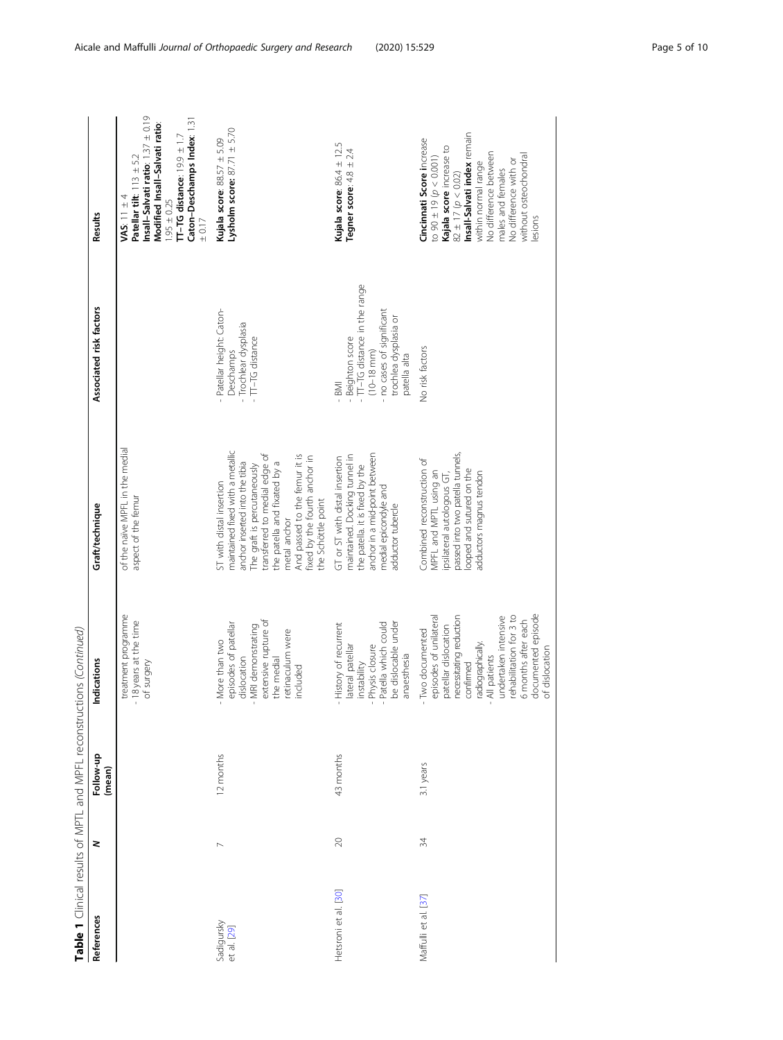| References                | z              | <b>CONSISTENT CONSISTENTS AND DESCRIPTION OF A REAL PROPERTY OF A REAL PROPERTY OF A REAL PROPERTY OF A REAL PROPERTY OF A REAL PROPERTY OF A REAL PROPERTY OF A REAL PROPERTY OF A REAL PROPERTY OF A REAL PROPERTY OF A REAL P</b><br>Follow-up<br>(mean) | Indications                                                                                                                                                                                                                                                       | Graft/technique                                                                                                                                                                                                                                                                                        | Associated risk factors                                                                                                                                      | Results                                                                                                                                                                                                                                                                     |
|---------------------------|----------------|-------------------------------------------------------------------------------------------------------------------------------------------------------------------------------------------------------------------------------------------------------------|-------------------------------------------------------------------------------------------------------------------------------------------------------------------------------------------------------------------------------------------------------------------|--------------------------------------------------------------------------------------------------------------------------------------------------------------------------------------------------------------------------------------------------------------------------------------------------------|--------------------------------------------------------------------------------------------------------------------------------------------------------------|-----------------------------------------------------------------------------------------------------------------------------------------------------------------------------------------------------------------------------------------------------------------------------|
|                           |                |                                                                                                                                                                                                                                                             | treatment programme<br>- 18 years at the time<br>of surgery                                                                                                                                                                                                       | of the naïve MPFL in the medial<br>aspect of the femur                                                                                                                                                                                                                                                 |                                                                                                                                                              | Insall-Salvati ratio: 1.37 ± 0.19<br>Caton-Deschamps Index: 1.31<br>Modified Insall-Salvati ratio:<br>$T-TG$ distance: $19.9 \pm 1.7$<br>Patellar tilt: $113 \pm 5.2$<br>VAS: $11 \pm 4$<br>$1.95 \pm 0.25$<br>± 0.17                                                       |
| Sadigursky<br>et al. [29] | $\overline{ }$ | 12 months                                                                                                                                                                                                                                                   | extensive rupture of<br>episodes of patellar<br>- MRI demonstrating<br>retinaculum were<br>- More than two<br>dislocation<br>the medial<br>included                                                                                                               | maintained fixed with a metallic<br>transferred to medial edge of<br>And passed to the femur it is<br>fixed by the fourth anchor in<br>the patella and fixated by a<br>anchor inserted into the tibia<br>The graft is percutaneously<br>ST with distal insertion<br>the Schöttle point<br>metal anchor | - Patellar height: Caton-<br>- Trochlear dysplasia<br>$-T-TG$ distance<br>Deschamps                                                                          | Lysholm score: $87.71 \pm 5.70$<br>Kujala score: $88.57 \pm 5.09$                                                                                                                                                                                                           |
| Hetsroni et al. [30]      | $\gtrsim$      | 43 months                                                                                                                                                                                                                                                   | be dislocable under<br>- Patella which could<br>- History of recurrent<br>- Physis closure<br>ateral patellar<br>anaesthesia<br>nstability                                                                                                                        | maintained. Docking tunnel in<br>anchor in a mid-point between<br>GT or ST with distal insertion<br>the patella. it is fixed by the<br>medial epicondyle and<br>adductor tubercle                                                                                                                      | - TT-TG distance in the range<br>- no cases of significant<br>trochlea dysplasia or<br>- Beighton score<br>$(10 - 18 \text{ mm})$<br>patella alta<br>$-$ BMI | Kujala score: $86.4 \pm 12.5$<br>Tegner score: $4.8 \pm 2.4$                                                                                                                                                                                                                |
| Maffulli et al. [37]      | 34             | 3.1 years                                                                                                                                                                                                                                                   | documented episode<br>ehabilitation for 3 to<br>undertaken intensive<br>episodes of unilateral<br>necessitating reduction<br>5 months after each<br>patellar dislocation<br>- Two documented<br>radiographically<br>of dislocation<br>- All patients<br>confirmed | passed into two patella tunnels,<br>Combined reconstruction of<br>looped and sutured on the<br>MPFL and MPTL using an<br>adductors magnus tendon<br>psilateral autologous GT,                                                                                                                          | No risk factors                                                                                                                                              | Insall-Salvati index remain<br>Cincinnati Score increase<br>Kajala score increase to<br>No difference between<br>without osteochondral<br>to 90 ± 19 $(p < 0.001)$<br>No difference with or<br>within normal range<br>males and females<br>$82 \pm 17 (p < 0.02)$<br>esions |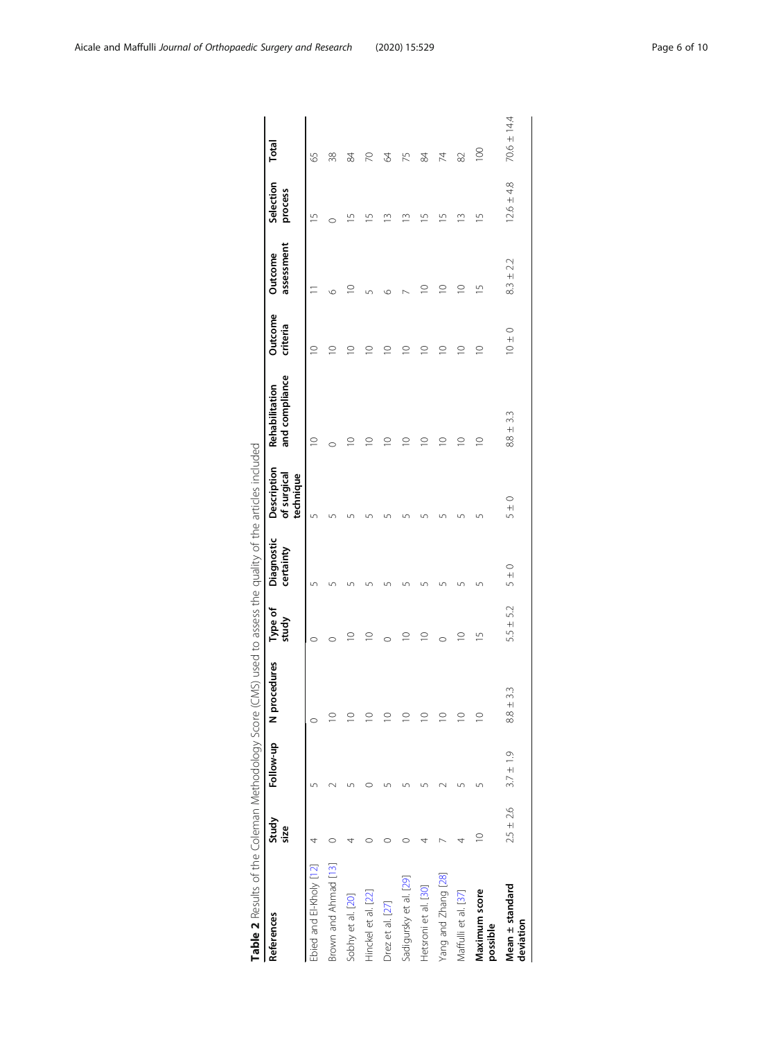<span id="page-5-0"></span>

| Table 2 Results of the Coleman Methodology Score (CMS) used to assess the quality of the articles included |               |               |                     |                  |                         |                                         |                                  |                     |                                     |                          |             |
|------------------------------------------------------------------------------------------------------------|---------------|---------------|---------------------|------------------|-------------------------|-----------------------------------------|----------------------------------|---------------------|-------------------------------------|--------------------------|-------------|
| References                                                                                                 | Study<br>size | Follow-up     | N procedures        | Type of<br>study | Diagnostic<br>certainty | Description<br>of surgical<br>technique | and compliance<br>Rehabilitation | Outcome<br>criteria | assessment<br>Outcome               | Selection<br>process     | Total       |
| Ebied and El-Kholy [12]                                                                                    |               |               |                     | $\circ$          | Ľ                       | 5                                       | $\supseteq$                      | $\circ$             |                                     | $\overline{\phantom{0}}$ | 59          |
| Brown and Ahmad [13]                                                                                       |               |               |                     | $\circ$          |                         |                                         | O                                | $\supseteq$         | O                                   | $\circ$                  | 38          |
| Sobhy et al. [20]                                                                                          |               |               |                     | $\supseteq$      |                         |                                         | $\circ$                          | $\circ$             |                                     | S                        | 没           |
| Hinckel et al. [22]                                                                                        |               |               |                     | $\supseteq$      |                         |                                         | $\circ$                          | $\supseteq$         | Ľ                                   | Щ                        | R           |
| Drez et al. [27]                                                                                           |               |               |                     | $\circ$          |                         |                                         | $\subseteq$                      | $\supseteq$         | O                                   | m                        | 2           |
| Sadigursky et al. [29]                                                                                     |               |               |                     | $\supseteq$      |                         |                                         | $\circ$                          | $\supseteq$         |                                     | m                        | 52          |
| Hetsroni et al. [30]                                                                                       |               |               |                     | $\supseteq$      |                         |                                         | $\subseteq$                      | $\supseteq$         | $\supseteq$                         | S                        | 没           |
| Yang and Zhang [28]                                                                                        |               |               | $\subseteq$         | $\circ$          |                         |                                         | $\subseteq$                      | $\supseteq$         | $\supseteq$                         | S                        | 74          |
| Maffulli et al. [37]                                                                                       |               |               | $\circ$             | $\supseteq$      |                         |                                         | $\supseteq$                      | $\supseteq$         | $\supseteq$                         | $\stackrel{3}{-}$        | 82          |
| Maximum score<br>possible                                                                                  | $\supseteq$   |               | $\supseteq$         | $\overline{1}$   | Ľ                       |                                         | $\supseteq$                      | $\supseteq$         | $\overline{1}$                      | $\overline{1}$           | 100         |
| Mean ± standard<br>deviation                                                                               | $2.5 \pm 2.6$ | $3.7 \pm 1.9$ | 33<br>$\frac{+}{8}$ | 52<br>$5.5 +$    | $\frac{0}{+1}$<br>5     | $\circ$<br>+1<br>S                      | $8.8 + 3.3$                      | $10 \pm 0$          | 22<br>$\frac{3}{2}$ + $\frac{1}{2}$ | $12.6 \pm 4.8$           | 70.6 ± 14.4 |
|                                                                                                            |               |               |                     |                  |                         |                                         |                                  |                     |                                     |                          |             |

|        | 5<br>¢                                                                        |
|--------|-------------------------------------------------------------------------------|
|        | ī<br>j                                                                        |
|        |                                                                               |
|        | ׇׇ֚֚֬֓֡                                                                       |
|        | j<br>Ï                                                                        |
|        |                                                                               |
|        |                                                                               |
|        |                                                                               |
|        | )<br>č                                                                        |
|        |                                                                               |
|        | I<br>J                                                                        |
|        |                                                                               |
|        | d<br>$\overline{\phantom{a}}$                                                 |
|        |                                                                               |
|        |                                                                               |
|        | $\overline{\phantom{a}}$                                                      |
|        |                                                                               |
|        |                                                                               |
|        |                                                                               |
|        |                                                                               |
|        |                                                                               |
|        |                                                                               |
|        |                                                                               |
|        | ֖֖֧ׅ֧ׅ֚֚֚֚֚֚֚֚֚֚֚֚֚֚֚֚֚֚֚֚֚֚֚֚֚֚֚֡֬֝֝֓֡֡֓֡֞֡֡֓֞                               |
|        | ֚֬֕                                                                           |
|        | Ì                                                                             |
|        |                                                                               |
|        | J<br>1                                                                        |
|        |                                                                               |
|        |                                                                               |
|        | י<br>י<br>֖֖֖֖֖֧֪ׅ֖֧֪ׅ֪ׅ֖֧֪֪ׅ֖֧֪֪ׅ֧֪ׅ֧֪֧֚֚֚֚֚֚֚֚֚֚֚֚֚֚֚֚֚֚֚֚֡֝֝֝֝֝֓֞֝֓֞֝֬֞֬֝֬ |
|        | i<br>Í                                                                        |
|        | ¢<br>J                                                                        |
|        |                                                                               |
|        | i<br>i                                                                        |
|        | í                                                                             |
|        |                                                                               |
|        |                                                                               |
|        |                                                                               |
|        |                                                                               |
|        |                                                                               |
|        | j                                                                             |
|        | Ï<br>١                                                                        |
|        | j                                                                             |
|        |                                                                               |
|        |                                                                               |
|        |                                                                               |
|        |                                                                               |
|        |                                                                               |
| ة<br>أ |                                                                               |
|        |                                                                               |
|        |                                                                               |
|        |                                                                               |
|        |                                                                               |
|        | i                                                                             |
| Ì      |                                                                               |
|        |                                                                               |
|        |                                                                               |
|        | j<br>Ï                                                                        |
|        |                                                                               |
|        |                                                                               |
|        | ֧֖֚֚֚֬֝֬                                                                      |
|        | 5                                                                             |
|        |                                                                               |
|        | Ò<br>J                                                                        |
|        |                                                                               |
|        |                                                                               |
|        | j<br>l                                                                        |
|        |                                                                               |
|        |                                                                               |
|        |                                                                               |
|        | Ó                                                                             |
|        | Ž                                                                             |
|        |                                                                               |
|        |                                                                               |
|        |                                                                               |
|        |                                                                               |
| Ï      |                                                                               |
|        | )                                                                             |
|        | 1                                                                             |
|        |                                                                               |
|        |                                                                               |
|        |                                                                               |
|        | j                                                                             |
|        |                                                                               |
|        |                                                                               |
|        |                                                                               |
|        |                                                                               |
|        |                                                                               |
|        | ۱                                                                             |
| I      | こりこ                                                                           |
|        |                                                                               |
| r      | l                                                                             |
|        |                                                                               |
|        |                                                                               |
|        |                                                                               |
|        |                                                                               |
| I      | ahla<br>u<br>D                                                                |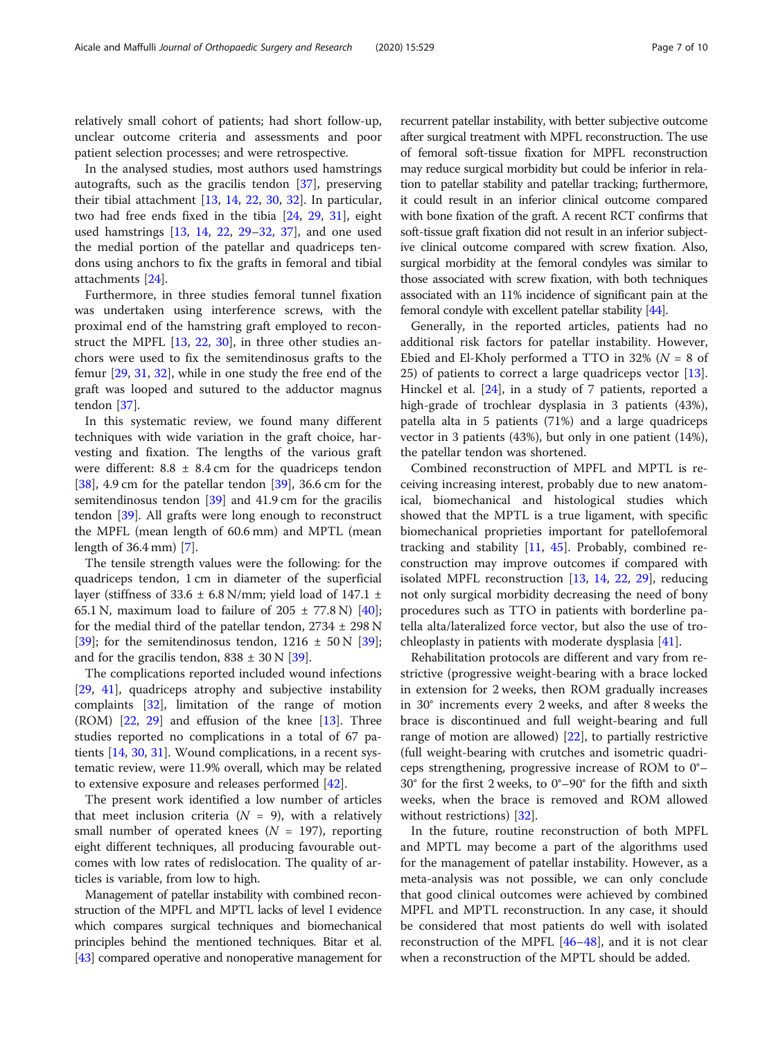relatively small cohort of patients; had short follow-up, unclear outcome criteria and assessments and poor patient selection processes; and were retrospective.

In the analysed studies, most authors used hamstrings autografts, such as the gracilis tendon [\[37](#page-8-0)], preserving their tibial attachment [\[13,](#page-8-0) [14](#page-8-0), [22,](#page-8-0) [30](#page-8-0), [32\]](#page-8-0). In particular, two had free ends fixed in the tibia [\[24,](#page-8-0) [29](#page-8-0), [31\]](#page-8-0), eight used hamstrings [\[13](#page-8-0), [14,](#page-8-0) [22,](#page-8-0) [29](#page-8-0)–[32,](#page-8-0) [37](#page-8-0)], and one used the medial portion of the patellar and quadriceps tendons using anchors to fix the grafts in femoral and tibial attachments [[24](#page-8-0)].

Furthermore, in three studies femoral tunnel fixation was undertaken using interference screws, with the proximal end of the hamstring graft employed to reconstruct the MPFL [[13,](#page-8-0) [22](#page-8-0), [30](#page-8-0)], in three other studies anchors were used to fix the semitendinosus grafts to the femur [\[29](#page-8-0), [31](#page-8-0), [32](#page-8-0)], while in one study the free end of the graft was looped and sutured to the adductor magnus tendon [[37](#page-8-0)].

In this systematic review, we found many different techniques with wide variation in the graft choice, harvesting and fixation. The lengths of the various graft were different:  $8.8 \pm 8.4$  cm for the quadriceps tendon  $[38]$  $[38]$ , 4.9 cm for the patellar tendon  $[39]$ , 36.6 cm for the semitendinosus tendon [\[39\]](#page-8-0) and 41.9 cm for the gracilis tendon [\[39](#page-8-0)]. All grafts were long enough to reconstruct the MPFL (mean length of 60.6 mm) and MPTL (mean length of 36.4 mm) [[7](#page-7-0)].

The tensile strength values were the following: for the quadriceps tendon, 1 cm in diameter of the superficial layer (stiffness of 33.6  $\pm$  6.8 N/mm; yield load of 147.1  $\pm$ 65.1 N, maximum load to failure of  $205 \pm 77.8$  N) [\[40](#page-8-0)]; for the medial third of the patellar tendon,  $2734 \pm 298$  N [[39\]](#page-8-0); for the semitendinosus tendon,  $1216 \pm 50 \text{ N}$  [\[39](#page-8-0)]; and for the gracilis tendon,  $838 \pm 30$  N [\[39\]](#page-8-0).

The complications reported included wound infections [[29,](#page-8-0) [41](#page-8-0)], quadriceps atrophy and subjective instability complaints [[32\]](#page-8-0), limitation of the range of motion  $(ROM)$   $[22, 29]$  $[22, 29]$  $[22, 29]$  $[22, 29]$  and effusion of the knee  $[13]$  $[13]$ . Three studies reported no complications in a total of 67 patients [\[14](#page-8-0), [30,](#page-8-0) [31\]](#page-8-0). Wound complications, in a recent systematic review, were 11.9% overall, which may be related to extensive exposure and releases performed [\[42\]](#page-8-0).

The present work identified a low number of articles that meet inclusion criteria ( $N = 9$ ), with a relatively small number of operated knees ( $N = 197$ ), reporting eight different techniques, all producing favourable outcomes with low rates of redislocation. The quality of articles is variable, from low to high.

Management of patellar instability with combined reconstruction of the MPFL and MPTL lacks of level I evidence which compares surgical techniques and biomechanical principles behind the mentioned techniques. Bitar et al. [[43](#page-8-0)] compared operative and nonoperative management for recurrent patellar instability, with better subjective outcome after surgical treatment with MPFL reconstruction. The use of femoral soft-tissue fixation for MPFL reconstruction may reduce surgical morbidity but could be inferior in relation to patellar stability and patellar tracking; furthermore, it could result in an inferior clinical outcome compared with bone fixation of the graft. A recent RCT confirms that soft-tissue graft fixation did not result in an inferior subjective clinical outcome compared with screw fixation. Also, surgical morbidity at the femoral condyles was similar to those associated with screw fixation, with both techniques associated with an 11% incidence of significant pain at the femoral condyle with excellent patellar stability [\[44](#page-8-0)].

Generally, in the reported articles, patients had no additional risk factors for patellar instability. However, Ebied and El-Kholy performed a TTO in 32% ( $N = 8$  of 25) of patients to correct a large quadriceps vector [\[13](#page-8-0)]. Hinckel et al. [[24\]](#page-8-0), in a study of 7 patients, reported a high-grade of trochlear dysplasia in 3 patients (43%), patella alta in 5 patients (71%) and a large quadriceps vector in 3 patients (43%), but only in one patient (14%), the patellar tendon was shortened.

Combined reconstruction of MPFL and MPTL is receiving increasing interest, probably due to new anatomical, biomechanical and histological studies which showed that the MPTL is a true ligament, with specific biomechanical proprieties important for patellofemoral tracking and stability [\[11](#page-8-0), [45\]](#page-8-0). Probably, combined reconstruction may improve outcomes if compared with isolated MPFL reconstruction [[13,](#page-8-0) [14,](#page-8-0) [22,](#page-8-0) [29\]](#page-8-0), reducing not only surgical morbidity decreasing the need of bony procedures such as TTO in patients with borderline patella alta/lateralized force vector, but also the use of trochleoplasty in patients with moderate dysplasia [[41](#page-8-0)].

Rehabilitation protocols are different and vary from restrictive (progressive weight-bearing with a brace locked in extension for 2 weeks, then ROM gradually increases in 30° increments every 2 weeks, and after 8 weeks the brace is discontinued and full weight-bearing and full range of motion are allowed) [[22\]](#page-8-0), to partially restrictive (full weight-bearing with crutches and isometric quadriceps strengthening, progressive increase of ROM to 0°– 30° for the first 2 weeks, to 0°–90° for the fifth and sixth weeks, when the brace is removed and ROM allowed without restrictions) [\[32\]](#page-8-0).

In the future, routine reconstruction of both MPFL and MPTL may become a part of the algorithms used for the management of patellar instability. However, as a meta-analysis was not possible, we can only conclude that good clinical outcomes were achieved by combined MPFL and MPTL reconstruction. In any case, it should be considered that most patients do well with isolated reconstruction of the MPFL [[46](#page-8-0)–[48](#page-8-0)], and it is not clear when a reconstruction of the MPTL should be added.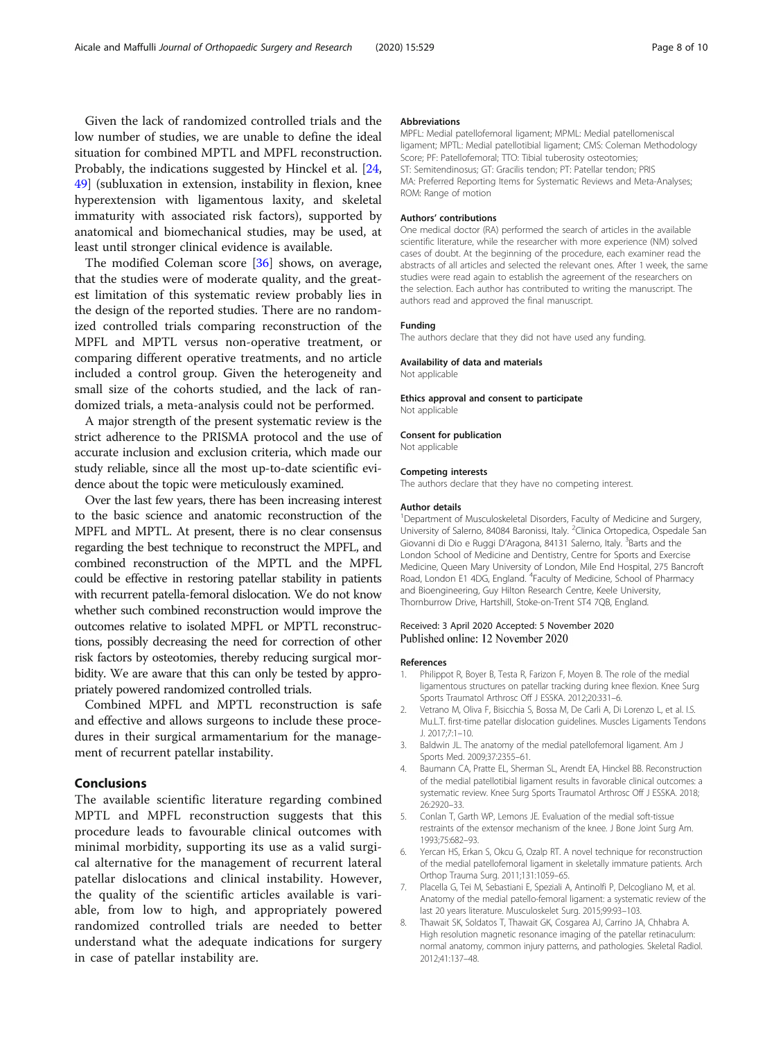<span id="page-7-0"></span>Given the lack of randomized controlled trials and the low number of studies, we are unable to define the ideal situation for combined MPTL and MPFL reconstruction. Probably, the indications suggested by Hinckel et al. [[24](#page-8-0), [49\]](#page-9-0) (subluxation in extension, instability in flexion, knee hyperextension with ligamentous laxity, and skeletal immaturity with associated risk factors), supported by anatomical and biomechanical studies, may be used, at least until stronger clinical evidence is available.

The modified Coleman score [[36\]](#page-8-0) shows, on average, that the studies were of moderate quality, and the greatest limitation of this systematic review probably lies in the design of the reported studies. There are no randomized controlled trials comparing reconstruction of the MPFL and MPTL versus non-operative treatment, or comparing different operative treatments, and no article included a control group. Given the heterogeneity and small size of the cohorts studied, and the lack of randomized trials, a meta-analysis could not be performed.

A major strength of the present systematic review is the strict adherence to the PRISMA protocol and the use of accurate inclusion and exclusion criteria, which made our study reliable, since all the most up-to-date scientific evidence about the topic were meticulously examined.

Over the last few years, there has been increasing interest to the basic science and anatomic reconstruction of the MPFL and MPTL. At present, there is no clear consensus regarding the best technique to reconstruct the MPFL, and combined reconstruction of the MPTL and the MPFL could be effective in restoring patellar stability in patients with recurrent patella-femoral dislocation. We do not know whether such combined reconstruction would improve the outcomes relative to isolated MPFL or MPTL reconstructions, possibly decreasing the need for correction of other risk factors by osteotomies, thereby reducing surgical morbidity. We are aware that this can only be tested by appropriately powered randomized controlled trials.

Combined MPFL and MPTL reconstruction is safe and effective and allows surgeons to include these procedures in their surgical armamentarium for the management of recurrent patellar instability.

## Conclusions

The available scientific literature regarding combined MPTL and MPFL reconstruction suggests that this procedure leads to favourable clinical outcomes with minimal morbidity, supporting its use as a valid surgical alternative for the management of recurrent lateral patellar dislocations and clinical instability. However, the quality of the scientific articles available is variable, from low to high, and appropriately powered randomized controlled trials are needed to better understand what the adequate indications for surgery in case of patellar instability are.

#### Abbreviations

MPFL: Medial patellofemoral ligament; MPML: Medial patellomeniscal ligament; MPTL: Medial patellotibial ligament; CMS: Coleman Methodology Score; PF: Patellofemoral; TTO: Tibial tuberosity osteotomies; ST: Semitendinosus; GT: Gracilis tendon; PT: Patellar tendon; PRIS MA: Preferred Reporting Items for Systematic Reviews and Meta-Analyses; ROM: Range of motion

#### Authors' contributions

One medical doctor (RA) performed the search of articles in the available scientific literature, while the researcher with more experience (NM) solved cases of doubt. At the beginning of the procedure, each examiner read the abstracts of all articles and selected the relevant ones. After 1 week, the same studies were read again to establish the agreement of the researchers on the selection. Each author has contributed to writing the manuscript. The authors read and approved the final manuscript.

## Funding

The authors declare that they did not have used any funding.

#### Availability of data and materials

Not applicable

### Ethics approval and consent to participate

Not applicable

Consent for publication Not applicable

# Competing interests

The authors declare that they have no competing interest.

#### Author details

<sup>1</sup>Department of Musculoskeletal Disorders, Faculty of Medicine and Surgery, University of Salerno, 84084 Baronissi, Italy. <sup>2</sup>Clinica Ortopedica, Ospedale San Giovanni di Dio e Ruggi D'Aragona, 84131 Salerno, Italy. <sup>3</sup>Barts and the London School of Medicine and Dentistry, Centre for Sports and Exercise Medicine, Queen Mary University of London, Mile End Hospital, 275 Bancroft Road, London E1 4DG, England. <sup>4</sup> Faculty of Medicine, School of Pharmacy and Bioengineering, Guy Hilton Research Centre, Keele University, Thornburrow Drive, Hartshill, Stoke-on-Trent ST4 7QB, England.

#### Received: 3 April 2020 Accepted: 5 November 2020 Published online: 12 November 2020

#### References

- 1. Philippot R, Boyer B, Testa R, Farizon F, Moyen B. The role of the medial ligamentous structures on patellar tracking during knee flexion. Knee Surg Sports Traumatol Arthrosc Off J ESSKA. 2012;20:331–6.
- 2. Vetrano M, Oliva F, Bisicchia S, Bossa M, De Carli A, Di Lorenzo L, et al. I.S. Mu.L.T. first-time patellar dislocation guidelines. Muscles Ligaments Tendons J. 2017;7:1–10.
- 3. Baldwin JL. The anatomy of the medial patellofemoral ligament. Am J Sports Med. 2009;37:2355–61.
- 4. Baumann CA, Pratte EL, Sherman SL, Arendt EA, Hinckel BB. Reconstruction of the medial patellotibial ligament results in favorable clinical outcomes: a systematic review. Knee Surg Sports Traumatol Arthrosc Off J ESSKA. 2018; 26:2920–33.
- 5. Conlan T, Garth WP, Lemons JE. Evaluation of the medial soft-tissue restraints of the extensor mechanism of the knee. J Bone Joint Surg Am. 1993;75:682–93.
- Yercan HS, Erkan S, Okcu G, Ozalp RT. A novel technique for reconstruction of the medial patellofemoral ligament in skeletally immature patients. Arch Orthop Trauma Surg. 2011;131:1059–65.
- 7. Placella G, Tei M, Sebastiani E, Speziali A, Antinolfi P, Delcogliano M, et al. Anatomy of the medial patello-femoral ligament: a systematic review of the last 20 years literature. Musculoskelet Surg. 2015;99:93–103.
- 8. Thawait SK, Soldatos T, Thawait GK, Cosgarea AJ, Carrino JA, Chhabra A. High resolution magnetic resonance imaging of the patellar retinaculum: normal anatomy, common injury patterns, and pathologies. Skeletal Radiol. 2012;41:137–48.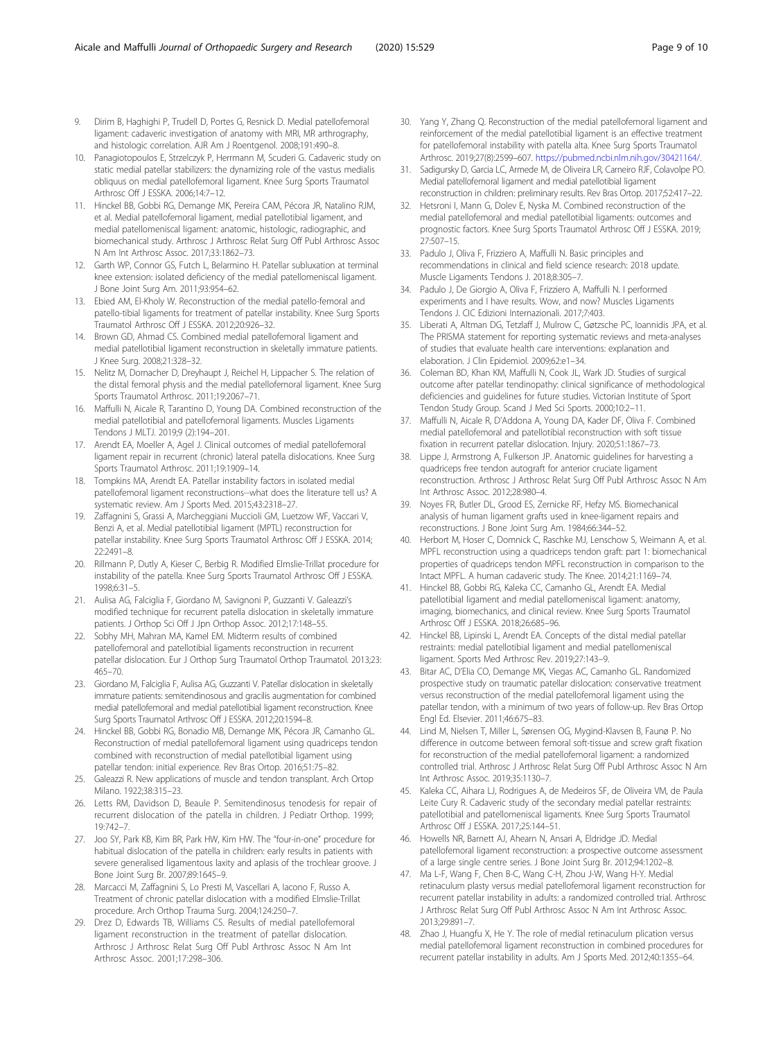- <span id="page-8-0"></span>9. Dirim B, Haghighi P, Trudell D, Portes G, Resnick D. Medial patellofemoral ligament: cadaveric investigation of anatomy with MRI, MR arthrography, and histologic correlation. AJR Am J Roentgenol. 2008;191:490–8.
- 10. Panagiotopoulos E, Strzelczyk P, Herrmann M, Scuderi G. Cadaveric study on static medial patellar stabilizers: the dynamizing role of the vastus medialis obliquus on medial patellofemoral ligament. Knee Surg Sports Traumatol Arthrosc Off J ESSKA. 2006;14:7–12.
- 11. Hinckel BB, Gobbi RG, Demange MK, Pereira CAM, Pécora JR, Natalino RJM, et al. Medial patellofemoral ligament, medial patellotibial ligament, and medial patellomeniscal ligament: anatomic, histologic, radiographic, and biomechanical study. Arthrosc J Arthrosc Relat Surg Off Publ Arthrosc Assoc N Am Int Arthrosc Assoc. 2017;33:1862–73.
- 12. Garth WP, Connor GS, Futch L, Belarmino H. Patellar subluxation at terminal knee extension: isolated deficiency of the medial patellomeniscal ligament. J Bone Joint Surg Am. 2011;93:954–62.
- 13. Ebied AM, El-Kholy W. Reconstruction of the medial patello-femoral and patello-tibial ligaments for treatment of patellar instability. Knee Surg Sports Traumatol Arthrosc Off J ESSKA. 2012;20:926–32.
- 14. Brown GD, Ahmad CS. Combined medial patellofemoral ligament and medial patellotibial ligament reconstruction in skeletally immature patients. J Knee Surg. 2008;21:328–32.
- 15. Nelitz M, Dornacher D, Dreyhaupt J, Reichel H, Lippacher S. The relation of the distal femoral physis and the medial patellofemoral ligament. Knee Surg Sports Traumatol Arthrosc. 2011;19:2067–71.
- 16. Maffulli N, Aicale R, Tarantino D, Young DA. Combined reconstruction of the medial patellotibial and patellofemoral ligaments. Muscles Ligaments Tendons J MLTJ. 2019;9 (2):194–201.
- 17. Arendt EA, Moeller A, Agel J. Clinical outcomes of medial patellofemoral ligament repair in recurrent (chronic) lateral patella dislocations. Knee Surg Sports Traumatol Arthrosc. 2011;19:1909–14.
- 18. Tompkins MA, Arendt EA. Patellar instability factors in isolated medial patellofemoral ligament reconstructions--what does the literature tell us? A systematic review. Am J Sports Med. 2015;43:2318–27.
- 19. Zaffagnini S, Grassi A, Marcheggiani Muccioli GM, Luetzow WF, Vaccari V, Benzi A, et al. Medial patellotibial ligament (MPTL) reconstruction for patellar instability. Knee Surg Sports Traumatol Arthrosc Off J ESSKA. 2014; 22:2491–8.
- 20. Rillmann P, Dutly A, Kieser C, Berbig R. Modified Elmslie-Trillat procedure for instability of the patella. Knee Surg Sports Traumatol Arthrosc Off J ESSKA. 1998;6:31–5.
- 21. Aulisa AG, Falciglia F, Giordano M, Savignoni P, Guzzanti V. Galeazzi's modified technique for recurrent patella dislocation in skeletally immature patients. J Orthop Sci Off J Jpn Orthop Assoc. 2012;17:148–55.
- 22. Sobhy MH, Mahran MA, Kamel EM. Midterm results of combined patellofemoral and patellotibial ligaments reconstruction in recurrent patellar dislocation. Eur J Orthop Surg Traumatol Orthop Traumatol. 2013;23: 465–70.
- 23. Giordano M, Falciglia F, Aulisa AG, Guzzanti V. Patellar dislocation in skeletally immature patients: semitendinosous and gracilis augmentation for combined medial patellofemoral and medial patellotibial ligament reconstruction. Knee Surg Sports Traumatol Arthrosc Off J ESSKA. 2012;20:1594–8.
- 24. Hinckel BB, Gobbi RG, Bonadio MB, Demange MK, Pécora JR, Camanho GL. Reconstruction of medial patellofemoral ligament using quadriceps tendon combined with reconstruction of medial patellotibial ligament using patellar tendon: initial experience. Rev Bras Ortop. 2016;51:75–82.
- 25. Galeazzi R. New applications of muscle and tendon transplant. Arch Ortop Milano. 1922;38:315–23.
- 26. Letts RM, Davidson D, Beaule P. Semitendinosus tenodesis for repair of recurrent dislocation of the patella in children. J Pediatr Orthop. 1999; 19:742–7.
- 27. Joo SY, Park KB, Kim BR, Park HW, Kim HW. The "four-in-one" procedure for habitual dislocation of the patella in children: early results in patients with severe generalised ligamentous laxity and aplasis of the trochlear groove. J Bone Joint Surg Br. 2007;89:1645–9.
- 28. Marcacci M, Zaffagnini S, Lo Presti M, Vascellari A, Iacono F, Russo A. Treatment of chronic patellar dislocation with a modified Elmslie-Trillat procedure. Arch Orthop Trauma Surg. 2004;124:250–7.
- 29. Drez D, Edwards TB, Williams CS. Results of medial patellofemoral ligament reconstruction in the treatment of patellar dislocation. Arthrosc J Arthrosc Relat Surg Off Publ Arthrosc Assoc N Am Int Arthrosc Assoc. 2001;17:298–306.
- 30. Yang Y, Zhang Q. Reconstruction of the medial patellofemoral ligament and reinforcement of the medial patellotibial ligament is an effective treatment for patellofemoral instability with patella alta. Knee Surg Sports Traumatol Arthrosc. 2019;27(8):2599–607. [https://pubmed.ncbi.nlm.nih.gov/30421164/.](https://pubmed.ncbi.nlm.nih.gov/30421164/)
- 31. Sadigursky D, Garcia LC, Armede M, de Oliveira LR, Carneiro RJF, Colavolpe PO. Medial patellofemoral ligament and medial patellotibial ligament reconstruction in children: preliminary results. Rev Bras Ortop. 2017;52:417–22.
- 32. Hetsroni I, Mann G, Dolev E, Nyska M. Combined reconstruction of the medial patellofemoral and medial patellotibial ligaments: outcomes and prognostic factors. Knee Surg Sports Traumatol Arthrosc Off J ESSKA. 2019; 27:507–15.
- 33. Padulo J, Oliva F, Frizziero A, Maffulli N. Basic principles and recommendations in clinical and field science research: 2018 update. Muscle Ligaments Tendons J. 2018;8:305–7.
- 34. Padulo J, De Giorgio A, Oliva F, Frizziero A, Maffulli N. I performed experiments and I have results. Wow, and now? Muscles Ligaments Tendons J. CIC Edizioni Internazionali. 2017;7:403.
- 35. Liberati A, Altman DG, Tetzlaff J, Mulrow C, Gøtzsche PC, Ioannidis JPA, et al. The PRISMA statement for reporting systematic reviews and meta-analyses of studies that evaluate health care interventions: explanation and elaboration. J Clin Epidemiol. 2009;62:e1–34.
- 36. Coleman BD, Khan KM, Maffulli N, Cook JL, Wark JD. Studies of surgical outcome after patellar tendinopathy: clinical significance of methodological deficiencies and guidelines for future studies. Victorian Institute of Sport Tendon Study Group. Scand J Med Sci Sports. 2000;10:2–11.
- 37. Maffulli N, Aicale R, D'Addona A, Young DA, Kader DF, Oliva F. Combined medial patellofemoral and patellotibial reconstruction with soft tissue fixation in recurrent patellar dislocation. Injury. 2020;51:1867–73.
- Lippe J, Armstrong A, Fulkerson JP. Anatomic guidelines for harvesting a quadriceps free tendon autograft for anterior cruciate ligament reconstruction. Arthrosc J Arthrosc Relat Surg Off Publ Arthrosc Assoc N Am Int Arthrosc Assoc. 2012;28:980–4.
- 39. Noyes FR, Butler DL, Grood ES, Zernicke RF, Hefzy MS. Biomechanical analysis of human ligament grafts used in knee-ligament repairs and reconstructions. J Bone Joint Surg Am. 1984;66:344–52.
- Herbort M, Hoser C, Domnick C, Raschke MJ, Lenschow S, Weimann A, et al. MPFL reconstruction using a quadriceps tendon graft: part 1: biomechanical properties of quadriceps tendon MPFL reconstruction in comparison to the Intact MPFL. A human cadaveric study. The Knee. 2014;21:1169–74.
- 41. Hinckel BB, Gobbi RG, Kaleka CC, Camanho GL, Arendt EA. Medial patellotibial ligament and medial patellomeniscal ligament: anatomy, imaging, biomechanics, and clinical review. Knee Surg Sports Traumatol Arthrosc Off J ESSKA. 2018;26:685–96.
- 42. Hinckel BB, Lipinski L, Arendt EA. Concepts of the distal medial patellar restraints: medial patellotibial ligament and medial patellomeniscal ligament. Sports Med Arthrosc Rev. 2019;27:143–9.
- 43. Bitar AC, D'Elia CO, Demange MK, Viegas AC, Camanho GL. Randomized prospective study on traumatic patellar dislocation: conservative treatment versus reconstruction of the medial patellofemoral ligament using the patellar tendon, with a minimum of two years of follow-up. Rev Bras Ortop Engl Ed. Elsevier. 2011;46:675–83.
- 44. Lind M, Nielsen T, Miller L, Sørensen OG, Mygind-Klavsen B, Faunø P. No difference in outcome between femoral soft-tissue and screw graft fixation for reconstruction of the medial patellofemoral ligament: a randomized controlled trial. Arthrosc J Arthrosc Relat Surg Off Publ Arthrosc Assoc N Am Int Arthrosc Assoc. 2019;35:1130–7.
- 45. Kaleka CC, Aihara LJ, Rodrigues A, de Medeiros SF, de Oliveira VM, de Paula Leite Cury R. Cadaveric study of the secondary medial patellar restraints: patellotibial and patellomeniscal ligaments. Knee Surg Sports Traumatol Arthrosc Off J ESSKA. 2017;25:144–51.
- 46. Howells NR, Barnett AJ, Ahearn N, Ansari A, Eldridge JD. Medial patellofemoral ligament reconstruction: a prospective outcome assessment of a large single centre series. J Bone Joint Surg Br. 2012;94:1202–8.
- 47. Ma L-F, Wang F, Chen B-C, Wang C-H, Zhou J-W, Wang H-Y. Medial retinaculum plasty versus medial patellofemoral ligament reconstruction for recurrent patellar instability in adults: a randomized controlled trial. Arthrosc J Arthrosc Relat Surg Off Publ Arthrosc Assoc N Am Int Arthrosc Assoc. 2013;29:891–7.
- 48. Zhao J, Huangfu X, He Y. The role of medial retinaculum plication versus medial patellofemoral ligament reconstruction in combined procedures for recurrent patellar instability in adults. Am J Sports Med. 2012;40:1355–64.